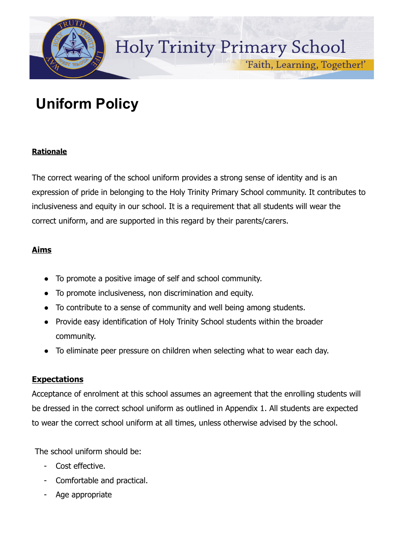

'Faith, Learning, Together!'

# **Uniform Policy**

# **Rationale**

The correct wearing of the school uniform provides a strong sense of identity and is an expression of pride in belonging to the Holy Trinity Primary School community. It contributes to inclusiveness and equity in our school. It is a requirement that all students will wear the correct uniform, and are supported in this regard by their parents/carers.

# **Aims**

- To promote a positive image of self and school community.
- To promote inclusiveness, non discrimination and equity.
- To contribute to a sense of community and well being among students.
- Provide easy identification of Holy Trinity School students within the broader community.
- To eliminate peer pressure on children when selecting what to wear each day.

# **Expectations**

Acceptance of enrolment at this school assumes an agreement that the enrolling students will be dressed in the correct school uniform as outlined in Appendix 1. All students are expected to wear the correct school uniform at all times, unless otherwise advised by the school.

The school uniform should be:

- Cost effective.
- Comfortable and practical.
- Age appropriate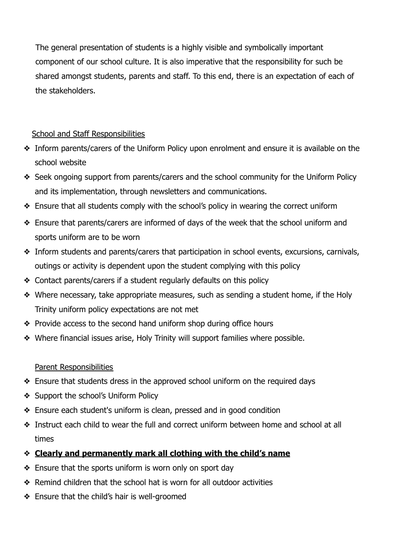The general presentation of students is a highly visible and symbolically important component of our school culture. It is also imperative that the responsibility for such be shared amongst students, parents and staff. To this end, there is an expectation of each of the stakeholders.

# School and Staff Responsibilities

- ❖ Inform parents/carers of the Uniform Policy upon enrolment and ensure it is available on the school website
- ❖ Seek ongoing support from parents/carers and the school community for the Uniform Policy and its implementation, through newsletters and communications.
- ❖ Ensure that all students comply with the school's policy in wearing the correct uniform
- ❖ Ensure that parents/carers are informed of days of the week that the school uniform and sports uniform are to be worn
- ❖ Inform students and parents/carers that participation in school events, excursions, carnivals, outings or activity is dependent upon the student complying with this policy
- ❖ Contact parents/carers if a student regularly defaults on this policy
- ❖ Where necessary, take appropriate measures, such as sending a student home, if the Holy Trinity uniform policy expectations are not met
- ❖ Provide access to the second hand uniform shop during office hours
- ❖ Where financial issues arise, Holy Trinity will support families where possible.

### Parent Responsibilities

- ❖ Ensure that students dress in the approved school uniform on the required days
- ❖ Support the school's Uniform Policy
- ❖ Ensure each student's uniform is clean, pressed and in good condition
- ❖ Instruct each child to wear the full and correct uniform between home and school at all times
- ❖ **Clearly and permanently mark all clothing with the child's name**
- ❖ Ensure that the sports uniform is worn only on sport day
- ❖ Remind children that the school hat is worn for all outdoor activities
- ❖ Ensure that the child's hair is well-groomed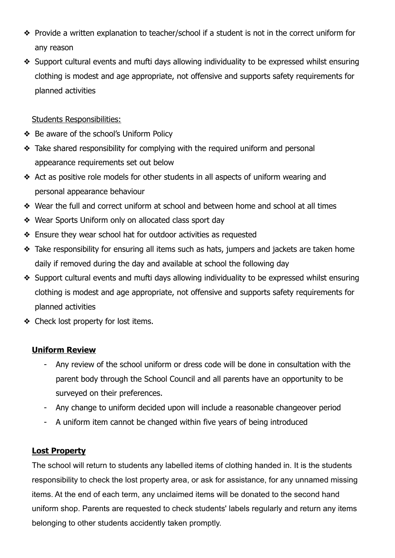- ❖ Provide a written explanation to teacher/school if a student is not in the correct uniform for any reason
- ❖ Support cultural events and mufti days allowing individuality to be expressed whilst ensuring clothing is modest and age appropriate, not offensive and supports safety requirements for planned activities

# Students Responsibilities:

- ❖ Be aware of the school's Uniform Policy
- ❖ Take shared responsibility for complying with the required uniform and personal appearance requirements set out below
- ❖ Act as positive role models for other students in all aspects of uniform wearing and personal appearance behaviour
- ❖ Wear the full and correct uniform at school and between home and school at all times
- ❖ Wear Sports Uniform only on allocated class sport day
- ❖ Ensure they wear school hat for outdoor activities as requested
- ❖ Take responsibility for ensuring all items such as hats, jumpers and jackets are taken home daily if removed during the day and available at school the following day
- ❖ Support cultural events and mufti days allowing individuality to be expressed whilst ensuring clothing is modest and age appropriate, not offensive and supports safety requirements for planned activities
- ❖ Check lost property for lost items.

# **Uniform Review**

- Any review of the school uniform or dress code will be done in consultation with the parent body through the School Council and all parents have an opportunity to be surveyed on their preferences.
- Any change to uniform decided upon will include a reasonable changeover period
- A uniform item cannot be changed within five years of being introduced

# **Lost Property**

The school will return to students any labelled items of clothing handed in. It is the students responsibility to check the lost property area, or ask for assistance, for any unnamed missing items. At the end of each term, any unclaimed items will be donated to the second hand uniform shop. Parents are requested to check students' labels regularly and return any items belonging to other students accidently taken promptly.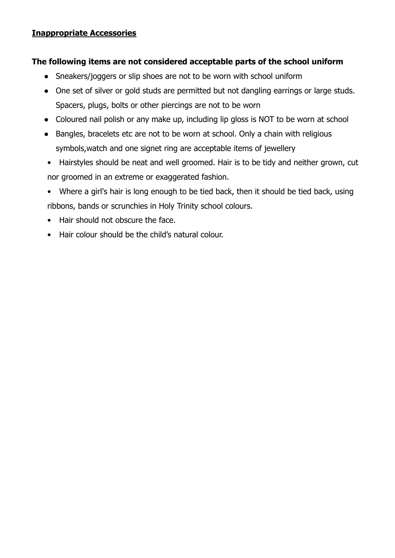### **Inappropriate Accessories**

### **The following items are not considered acceptable parts of the school uniform**

- Sneakers/joggers or slip shoes are not to be worn with school uniform
- One set of silver or gold studs are permitted but not dangling earrings or large studs. Spacers, plugs, bolts or other piercings are not to be worn
- Coloured nail polish or any make up, including lip gloss is NOT to be worn at school
- Bangles, bracelets etc are not to be worn at school. Only a chain with religious symbols,watch and one signet ring are acceptable items of jewellery
- Hairstyles should be neat and well groomed. Hair is to be tidy and neither grown, cut nor groomed in an extreme or exaggerated fashion.
- Where a girl's hair is long enough to be tied back, then it should be tied back, using ribbons, bands or scrunchies in Holy Trinity school colours.
- Hair should not obscure the face.
- Hair colour should be the child's natural colour.